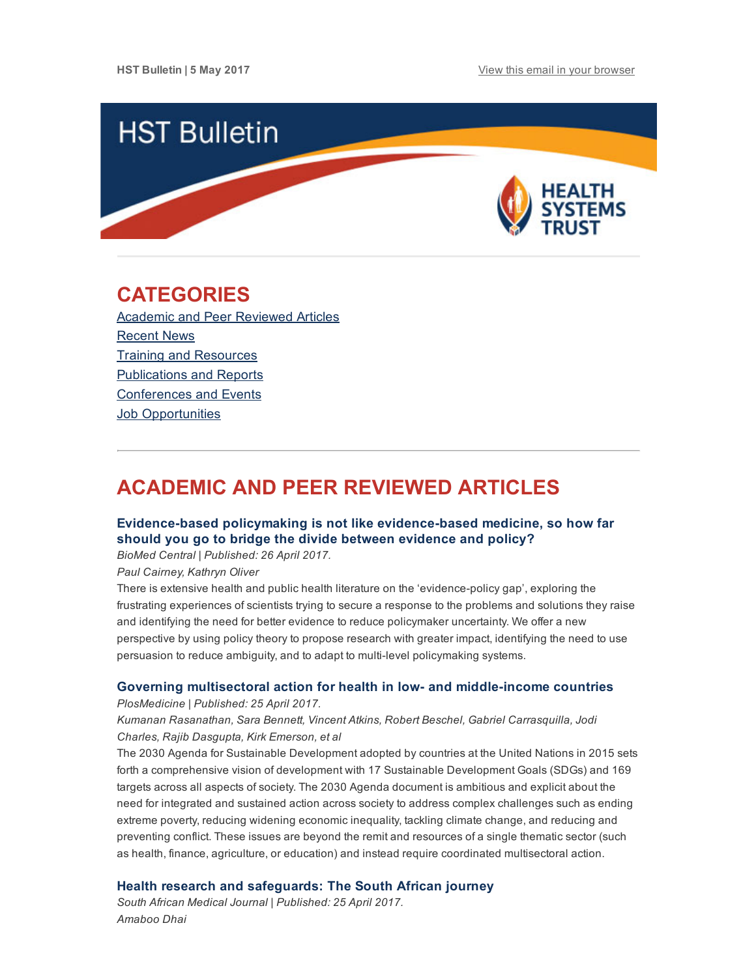

## <span id="page-0-1"></span>CATEGORIES

Academic and Peer [Reviewed](#page-0-0) Articles [Recent](#page-2-0) News Training and [Resources](#page-3-0) [Publications](#page-3-1) and Reports [Conferences](#page-3-2) and Events **Job [Opportunities](#page-4-0)** 

# <span id="page-0-0"></span>ACADEMIC AND PEER REVIEWED ARTICLES

## Evidence-based policymaking is not like evidence-based medicine, so how far should you go to bridge the divide between evidence and policy?

BioMed Central | Published: 26 April 2017.

Paul Cairney, Kathryn Oliver

There is extensive health and public health literature on the 'evidence-policy gap', exploring the frustrating experiences of scientists trying to secure a response to the problems and solutions they raise and identifying the need for better evidence to reduce policymaker uncertainty. We offer a new perspective by using policy theory to propose research with greater impact, identifying the need to use persuasion to reduce ambiguity, and to adapt to multi-level policymaking systems.

### Governing multisectoral action for health in low- and middle-income countries

PlosMedicine | Published: 25 April 2017.

## Kumanan Rasanathan, Sara Bennett, Vincent Atkins, Robert Beschel, Gabriel Carrasquilla, Jodi Charles, Rajib Dasgupta, Kirk Emerson, et al

The 2030 Agenda for Sustainable Development adopted by countries at the United Nations in 2015 sets forth a comprehensive vision of development with 17 Sustainable Development Goals (SDGs) and 169 targets across all aspects of society. The 2030 Agenda document is ambitious and explicit about the need for integrated and sustained action across society to address complex challenges such as ending extreme poverty, reducing widening economic inequality, tackling climate change, and reducing and preventing conflict. These issues are beyond the remit and resources of a single thematic sector (such as health, finance, agriculture, or education) and instead require coordinated multisectoral action.

## Health research and [safeguards:](http://www.samj.org.za/index.php/samj/article/view/11896/8058) The South African journey

South African Medical Journal | Published: 25 April 2017. Amaboo Dhai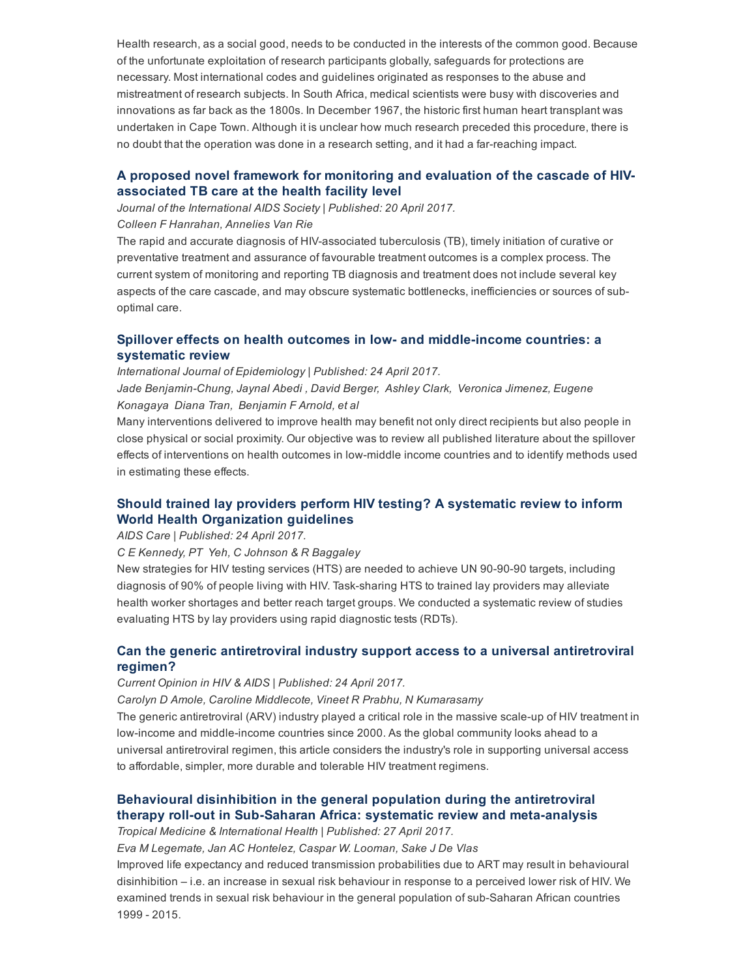Health research, as a social good, needs to be conducted in the interests of the common good. Because of the unfortunate exploitation of research participants globally, safeguards for protections are necessary. Most international codes and guidelines originated as responses to the abuse and mistreatment of research subjects. In South Africa, medical scientists were busy with discoveries and innovations as far back as the 1800s. In December 1967, the historic first human heart transplant was undertaken in Cape Town. Although it is unclear how much research preceded this procedure, there is no doubt that the operation was done in a research setting, and it had a farreaching impact.

## A proposed novel framework for [monitoring](http://www.jiasociety.org/index.php/jias/article/view/21375/pdf) and evaluation of the cascade of HIVassociated TB care at the health facility level

Journal of the International AIDS Society | Published: 20 April 2017.

Colleen F Hanrahan, Annelies Van Rie

The rapid and accurate diagnosis of HIV-associated tuberculosis (TB), timely initiation of curative or preventative treatment and assurance of favourable treatment outcomes is a complex process. The current system of monitoring and reporting TB diagnosis and treatment does not include several key aspects of the care cascade, and may obscure systematic bottlenecks, inefficiencies or sources of suboptimal care.

## Spillover effects on health outcomes in low- and middle-income countries: a systematic review

International Journal of Epidemiology | Published: 24 April 2017. Jade BenjaminChung, Jaynal Abedi , David Berger, Ashley Clark, Veronica Jimenez, Eugene Konagaya Diana Tran, Benjamin F Arnold, et al

Many interventions delivered to improve health may benefit not only direct recipients but also people in close physical or social proximity. Our objective was to review all published literature about the spillover effects of interventions on health outcomes in low-middle income countries and to identify methods used in estimating these effects.

## Should trained lay providers perform HIV testing? A systematic review to inform World Health [Organization](http://www.tandfonline.com/doi/full/10.1080/09540121.2017.1317710) guidelines

AIDS Care | Published: 24 April 2017.

C E Kennedy, PT Yeh, C Johnson & R Baggaley

New strategies for HIV testing services (HTS) are needed to achieve UN 90-90-90 targets, including diagnosis of 90% of people living with HIV. Task-sharing HTS to trained lay providers may alleviate health worker shortages and better reach target groups. We conducted a systematic review of studies evaluating HTS by lay providers using rapid diagnostic tests (RDTs).

## Can the generic [antiretroviral](http://journals.lww.com/co-hivandaids/pages/articleviewer.aspx?year=9000&issue=00000&article=99379&type=abstract) industry support access to a universal antiretroviral regimen?

Current Opinion in HIV & AIDS | Published: 24 April 2017.

Carolyn D Amole, Caroline Middlecote, Vineet R Prabhu, N Kumarasamy

The generic antiretroviral (ARV) industry played a critical role in the massive scale-up of HIV treatment in low-income and middle-income countries since 2000. As the global community looks ahead to a universal antiretroviral regimen, this article considers the industry's role in supporting universal access to affordable, simpler, more durable and tolerable HIV treatment regimens.

## Behavioural disinhibition in the general population during the antiretroviral therapy roll-out in Sub-Saharan Africa: systematic review and meta-analysis

Tropical Medicine & International Health | Published: 27 April 2017.

Eva M Legemate, Jan AC Hontelez, Caspar W. Looman, Sake J De Vlas

Improved life expectancy and reduced transmission probabilities due to ART may result in behavioural disinhibition – i.e. an increase in sexual risk behaviour in response to a perceived lower risk of HIV. We examined trends in sexual risk behaviour in the general population of sub-Saharan African countries 1999 2015.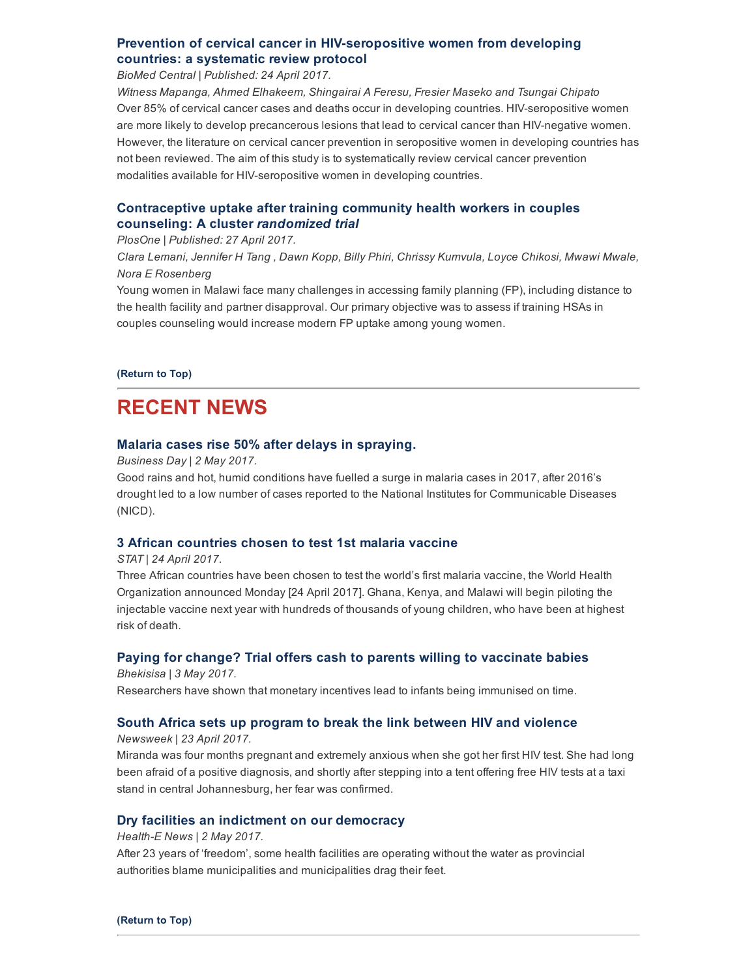## Prevention of cervical cancer in HIV-seropositive women from developing countries: a systematic review protocol

BioMed Central | Published: 24 April 2017.

Witness Mapanga, Ahmed Elhakeem, Shingairai A Feresu, Fresier Maseko and Tsungai Chipato Over 85% of cervical cancer cases and deaths occur in developing countries. HIV-seropositive women are more likely to develop precancerous lesions that lead to cervical cancer than HIV-negative women. However, the literature on cervical cancer prevention in seropositive women in developing countries has not been reviewed. The aim of this study is to systematically review cervical cancer prevention modalities available for HIV-seropositive women in developing countries.

## [Contraceptive](http://journals.plos.org/plosone/article?id=10.1371/journal.pone.0175879) uptake after training community health workers in couples counseling: A cluster randomized trial

#### PlosOne | Published: 27 April 2017.

Clara Lemani, Jennifer H Tang , Dawn Kopp, Billy Phiri, Chrissy Kumvula, Loyce Chikosi, Mwawi Mwale, Nora E Rosenberg

Young women in Malawi face many challenges in accessing family planning (FP), including distance to the health facility and partner disapproval. Our primary objective was to assess if training HSAs in couples counseling would increase modern FP uptake among young women.

#### [\(Return](#page-0-1) to Top)

# <span id="page-2-0"></span>RECENT NEWS

### Malaria cases rise 50% after delays in [spraying.](http://www.hst.org.za/news/malaria-cases-rise-50-after-delays-spraying)

Business Day | 2 May 2017.

Good rains and hot, humid conditions have fuelled a surge in malaria cases in 2017, after 2016's drought led to a low number of cases reported to the National Institutes for Communicable Diseases (NICD).

## 3 African [countries](http://www.hst.org.za/news/3-african-countries-chosen-test-1st-malaria-vaccine) chosen to test 1st malaria vaccine

#### STAT | 24 April 2017.

Three African countries have been chosen to test the world's first malaria vaccine, the World Health Organization announced Monday [24 April 2017]. Ghana, Kenya, and Malawi will begin piloting the injectable vaccine next year with hundreds of thousands of young children, who have been at highest risk of death.

## Paying for change? Trial offers cash to parents willing to [vaccinate](http://www.hst.org.za/news/paying-change-trial-offers-cash-parents-willing-vaccinate-babies) babies

Bhekisisa | 3 May 2017. Researchers have shown that monetary incentives lead to infants being immunised on time.

## South Africa sets up program to break the link between HIV and [violence](http://www.newsweek.com/south-africa-hiv-aids-women-womens-rights-hiv-rates-unicef-sugar-daddies-abuse-588277?utm_source=Global+Health+NOW+Main+List&utm_campaign=fb639544bf-EMAIL_CAMPAIGN_2017_04_24&utm_medium=email&utm_term=0_8d0d062dbd-fb639544bf-2811001)

#### Newsweek | 23 April 2017.

Miranda was four months pregnant and extremely anxious when she got her first HIV test. She had long been afraid of a positive diagnosis, and shortly after stepping into a tent offering free HIV tests at a taxi stand in central Johannesburg, her fear was confirmed.

## Dry facilities an indictment on our [democracy](http://www.hst.org.za/news/dry-facilities-indictment-our-democracy)

#### Health-E News  $| 2$  May 2017.

After 23 years of 'freedom', some health facilities are operating without the water as provincial authorities blame municipalities and municipalities drag their feet.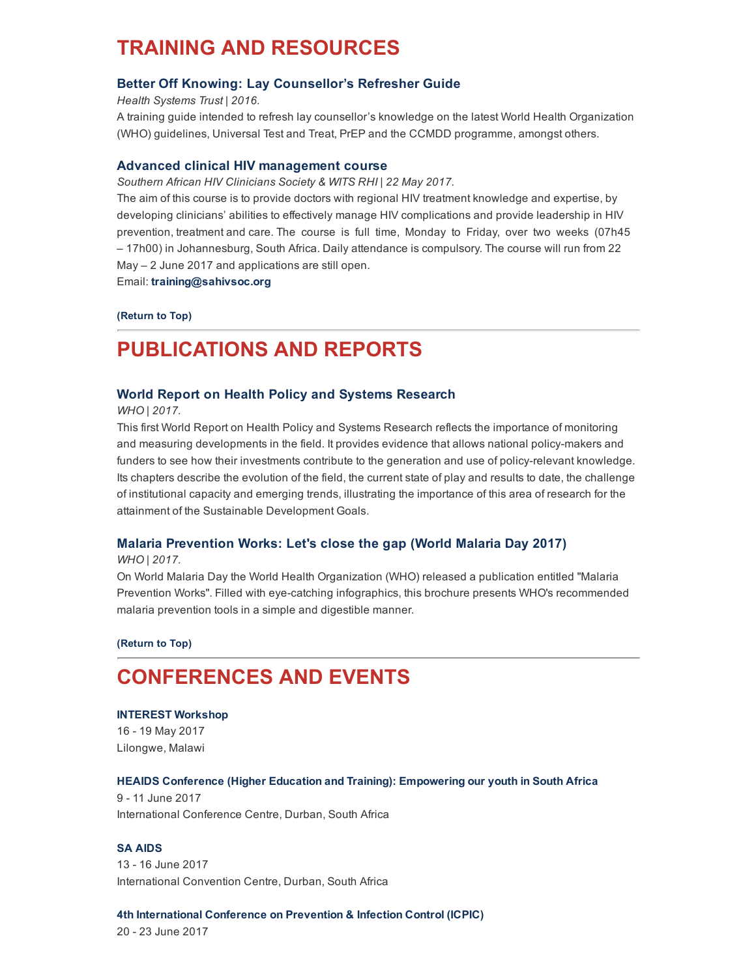# <span id="page-3-0"></span>TRAINING AND RESOURCES

### Better Off Knowing: Lay [Counsellor's](http://www.hst.org.za/publications/better-knowing-lay-counsellor-s-refresher-guide) Refresher Guide

Health Systems Trust | 2016.

A training guide intended to refresh lay counsellor's knowledge on the latest World Health Organization (WHO) guidelines, Universal Test and Treat, PrEP and the CCMDD programme, amongst others.

#### Advanced clinical HIV [management](http://www.hivsharespace.net/event/advanced-clinical-hiv-management-course) course

Southern African HIV Clinicians Society & WITS RHI | 22 May 2017.

The aim of this course is to provide doctors with regional HIV treatment knowledge and expertise, by developing clinicians' abilities to effectively manage HIV complications and provide leadership in HIV prevention, treatment and care. The course is full time, Monday to Friday, over two weeks (07h45 – 17h00) in Johannesburg, South Africa. Daily attendance is compulsory. The course will run from 22 May – 2 June 2017 and applications are still open.

Email: [training@sahivsoc.org](mailto:training@sahivsoc.org)

#### [\(Return](#page-0-1) to Top)

# <span id="page-3-1"></span>PUBLICATIONS AND REPORTS

### World Report on Health Policy and Systems [Research](http://www.hst.org.za/publications/world-report-health-policy-and-systems-research)

WHO | 2017.

This first World Report on Health Policy and Systems Research reflects the importance of monitoring and measuring developments in the field. It provides evidence that allows national policymakers and funders to see how their investments contribute to the generation and use of policy-relevant knowledge. Its chapters describe the evolution of the field, the current state of play and results to date, the challenge of institutional capacity and emerging trends, illustrating the importance of this area of research for the attainment of the Sustainable Development Goals.

#### Malaria [Prevention](http://www.hst.org.za/publications/malaria-prevention-works-lets-close-gap-world-malaria-day-2017) Works: Let's close the gap (World Malaria Day 2017)

WHO | 2017.

On World Malaria Day the World Health Organization (WHO) released a publication entitled "Malaria Prevention Works". Filled with eye-catching infographics, this brochure presents WHO's recommended malaria prevention tools in a simple and digestible manner.

[\(Return](#page-0-1) to Top)

# <span id="page-3-2"></span>CONFERENCES AND EVENTS

#### [INTEREST](http://www.hst.org.za/events/interest-workshop) Workshop

16 19 May 2017 Lilongwe, Malawi

#### HEAIDS Conference (Higher Education and Training): [Empowering](http://www.hst.org.za/events/heaids-conference-higher-education-and-training-empowering-our-youth-south-africa) our youth in South Africa

9 11 June 2017 International Conference Centre, Durban, South Africa

### SA [AIDS](http://www.hst.org.za/events/sa-aids)

13 16 June 2017 International Convention Centre, Durban, South Africa

#### 4th [International](http://www.hst.org.za/events/4th-international-conference-prevention-infection-control-icpic) Conference on Prevention & Infection Control (ICPIC)

20 23 June 2017